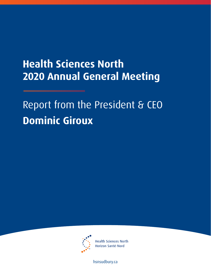# **Health Sciences North 2020 Annual General Meeting**

Report from the President & CEO **Dominic Giroux**



**Health Sciences North** Horizon Santé-Nord

[hsnsudbury.ca](www.hsnsudbury.ca)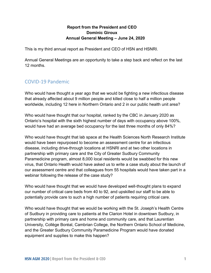#### **Report from the President and CEO Dominic Giroux Annual General Meeting – June 24, 2020**

This is my third annual report as President and CEO of HSN and HSNRI.

Annual General Meetings are an opportunity to take a step back and reflect on the last 12 months.

## COVID-19 Pandemic

Who would have thought a year ago that we would be fighting a new infectious disease that already affected about 9 million people and killed close to half a million people worldwide, including 12 here in Northern Ontario and 2 in our public health unit area?

Who would have thought that our hospital, ranked by the CBC in January 2020 as Ontario's hospital with the sixth highest number of days with occupancy above 100%, would have had an average bed occupancy for the last three months of only 84%?

Who would have thought that lab space at the Health Sciences North Research Institute would have been repurposed to become an assessment centre for an infectious disease, including drive-through locations at HSNRI and at two other locations in partnership with primary care and the City of Greater Sudbury Community Paramedicine program, almost 8,000 local residents would be swabbed for this new virus, that Ontario Health would have asked us to write a case study about the launch of our assessment centre and that colleagues from 55 hospitals would have taken part in a webinar following the release of the case study?

Who would have thought that we would have developed well-thought plans to expand our number of critical care beds from 40 to 92, and upskilled our staff to be able to potentially provide care to such a high number of patients requiring critical care.

Who would have thought that we would be working with the St. Joseph's Health Centre of Sudbury in providing care to patients at the Clarion Hotel in downtown Sudbury, in partnership with primary care and home and community care, and that Laurentian University, Collège Boréal, Cambrian College, the Northern Ontario School of Medicine, and the Greater Sudbury Community Paramedicine Program would have donated equipment and supplies to make this happen?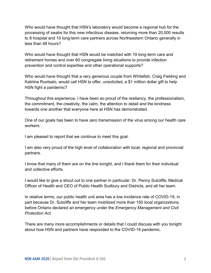Who would have thought that HSN's laboratory would become a regional hub for the processing of swabs for this new infectious disease, returning more than 20,000 results to 8 hospital and 10 long-term care partners across Northeastern Ontario generally in less than 48 hours?

Who would have thought that HSN would be matched with 19 long-term care and retirement homes and over 60 congregate living situations to provide infection prevention and control expertise and other operational supports?

Who would have thought that a very generous couple from Whitefish, Craig Fielding and Katriina Ruotsalo, would call HSN to offer, unsolicited, a \$1 million dollar gift to help HSN fight a pandemic?

Throughout this experience, I have been so proud of the resiliency, the professionalism, the commitment, the creativity, the calm, the attention to detail and the kindness towards one another that everyone here at HSN has demonstrated.

One of our goals has been to have zero transmission of the virus among our health care workers.

I am pleased to report that we continue to meet this goal.

I am also very proud of the high level of collaboration with local, regional and provincial partners.

I know that many of them are on the line tonight, and I thank them for their individual and collective efforts.

I would like to give a shout out to one partner in particular: Dr. Penny Sutcliffe, Medical Officer of Health and CEO of Public Health Sudbury and Districts, and all her team.

In relative terms, our public health unit area has a low incidence rate of COVID-19, in part because Dr. Sutcliffe and her team mobilized more than 150 local organizations, before Ontario declared an emergency under the *Emergency Management and Civil Protection Act*.

There are many more accomplishments or details that I could discuss with you tonight about how HSN and partners have responded to the COVID-19 pandemic.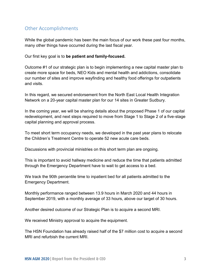## Other Accomplishments

While the global pandemic has been the main focus of our work these past four months, many other things have occurred during the last fiscal year.

Our first key goal is to **be patient and family-focused.**

Outcome #1 of our strategic plan is to begin implementing a new capital master plan to create more space for beds, NEO Kids and mental health and addictions, consolidate our number of sites and improve wayfinding and healthy food offerings for outpatients and visits.

In this regard, we secured endorsement from the North East Local Health Integration Network on a 20-year capital master plan for our 14 sites in Greater Sudbury.

In the coming year, we will be sharing details about the proposed Phase 1 of our capital redevelopment, and next steps required to move from Stage 1 to Stage 2 of a five-stage capital planning and approval process.

To meet short term occupancy needs, we developed in the past year plans to relocate the Children's Treatment Centre to operate 52 new acute care beds.

Discussions with provincial ministries on this short term plan are ongoing.

This is important to avoid hallway medicine and reduce the time that patients admitted through the Emergency Department have to wait to get access to a bed.

We track the 90th percentile time to inpatient bed for all patients admitted to the Emergency Department.

Monthly performance ranged between 13.9 hours in March 2020 and 44 hours in September 2019, with a monthly average of 33 hours, above our target of 30 hours.

Another desired outcome of our Strategic Plan is to acquire a second MRI.

We received Ministry approval to acquire the equipment.

The HSN Foundation has already raised half of the \$7 million cost to acquire a second MRI and refurbish the current MRI.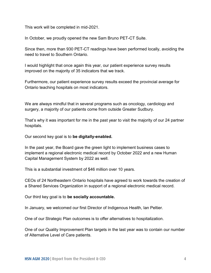This work will be completed in mid-2021.

In October, we proudly opened the new Sam Bruno PET-CT Suite.

Since then, more than 930 PET-CT readings have been performed locally, avoiding the need to travel to Southern Ontario.

I would highlight that once again this year, our patient experience survey results improved on the majority of 35 indicators that we track.

Furthermore, our patient experience survey results exceed the provincial average for Ontario teaching hospitals on most indicators.

We are always mindful that in several programs such as oncology, cardiology and surgery, a majority of our patients come from outside Greater Sudbury.

That's why it was important for me in the past year to visit the majority of our 24 partner hospitals.

Our second key goal is to **be digitally-enabled.**

In the past year, the Board gave the green light to implement business cases to implement a regional electronic medical record by October 2022 and a new Human Capital Management System by 2022 as well.

This is a substantial investment of \$46 million over 10 years.

CEOs of 24 Northeastern Ontario hospitals have agreed to work towards the creation of a Shared Services Organization in support of a regional electronic medical record.

Our third key goal is to **be socially accountable.**

In January, we welcomed our first Director of Indigenous Health, Ian Peltier.

One of our Strategic Plan outcomes is to offer alternatives to hospitalization.

One of our Quality Improvement Plan targets in the last year was to contain our number of Alternative Level of Care patients.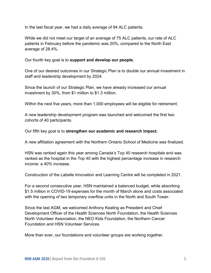In the last fiscal year, we had a daily average of 94 ALC patients.

While we did not meet our target of an average of 75 ALC patients, our rate of ALC patients in February before the pandemic was 20%, compared to the North East average of 28.4%.

Our fourth key goal is to **support and develop our people.**

One of our desired outcomes in our Strategic Plan is to double our annual investment in staff and leadership development by 2024.

Since the launch of our Strategic Plan, we have already increased our annual investment by 30%, from \$1 million to \$1.3 million.

Within the next five years, more than 1,000 employees will be eligible for retirement.

A new leadership development program was launched and welcomed the first two cohorts of 40 participants.

Our fifth key goal is to **strengthen our academic and research impact.**

A new affiliation agreement with the Northern Ontario School of Medicine was finalized.

HSN was ranked again this year among Canada's Top 40 research hospitals and was ranked as the hospital in the Top 40 with the highest percentage increase in research income: a 40% increase.

Construction of the Labelle Innovation and Learning Centre will be completed in 2021.

For a second consecutive year, HSN maintained a balanced budget, while absorbing \$1.5 million in COVID-19 expenses for the month of March alone and costs associated with the opening of two temporary overflow units in the North and South Tower.

Since the last AGM, we welcomed Anthony Keating as President and Chief Development Officer of the Health Sciences North Foundation, the Health Sciences North Volunteer Association, the NEO Kids Foundation, the Northern Cancer Foundation and HSN Volunteer Services.

More than ever, our foundations and volunteer groups are working together.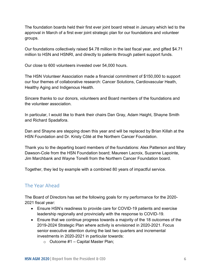The foundation boards held their first ever joint board retreat in January which led to the approval in March of a first ever joint strategic plan for our foundations and volunteer groups.

Our foundations collectively raised \$4.78 million in the last fiscal year, and gifted \$4.71 million to HSN and HSNRI, and directly to patients through patient support funds.

Our close to 600 volunteers invested over 54,000 hours.

The HSN Volunteer Association made a financial commitment of \$150,000 to support our four themes of collaborative research: Cancer Solutions, Cardiovascular Heath, Healthy Aging and Indigenous Health.

Sincere thanks to our donors, volunteers and Board members of the foundations and the volunteer association.

In particular, I would like to thank their chairs Dan Gray, Adam Haight, Shayne Smith and Richard Spadafora.

Dan and Shayne are stepping down this year and will be replaced by Brian Killah at the HSN Foundation and Dr. Kristy Côté at the Northern Cancer Foundation.

Thank you to the departing board members of the foundations: Alex Patterson and Mary Dawson-Cole from the HSN Foundation board; Maureen Lacroix, Suzanne Lapointe, Jim Marchbank and Wayne Tonelli from the Northern Cancer Foundation board.

Together, they led by example with a combined 80 years of impactful service.

#### The Year Ahead

The Board of Directors has set the following goals for my performance for the 2020- 2021 fiscal year:

- Ensure HSN's readiness to provide care for COVID-19 patients and exercise leadership regionally and provincially with the response to COVID-19.
- Ensure that we continue progress towards a majority of the 18 outcomes of the 2019-2024 Strategic Plan where activity is envisioned in 2020-2021. Focus senior executive attention during the last two quarters and incremental investments in 2020-2021 in particular towards:
	- $\circ$  Outcome #1 Capital Master Plan;